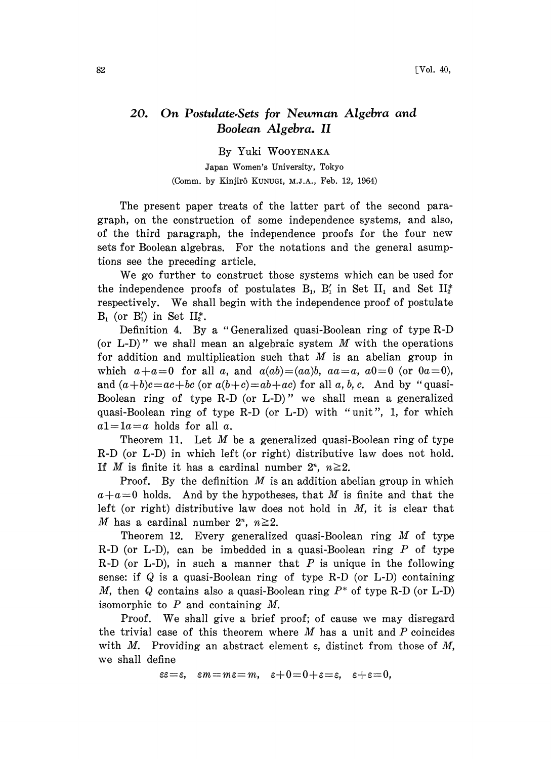## 20. On Postulate,Sets for Newman Algebra and Boolean Algebra. II

By Yuki WOOYENAKA

Japan Women's University, Tokyo (Comm. by Kinjirô KunuGI, M.J.A., Feb. 12, 1964)

The present paper treats of the latter part of the second paragraph, on the construction of some independence systems, and also, of the third paragraph, the independence proofs for the four new sets for Boolean algebras. For the notations and the general asumptions see the preceding article.

We go further to construct those systems which can be used for the independence proofs of postulates  $B_1$ ,  $B'_1$  in Set II<sub>1</sub> and Set II<sub>2</sub><sup>\*</sup> respectively. We shall begin with the independence proof of postulate  $B_1$  (or  $B_1'$ ) in Set  $II_2^*$ .

Definition 4. By a "Generalized quasi-Boolean ring of type R-D (or L-D)" we shall mean an algebraic system  $M$  with the operations for addition and multiplication such that  $M$  is an abelian group in which  $a + a = 0$  for all a, and  $a(ab) = (aa)b$ ,  $aa = a$ ,  $a0 = 0$  (or  $0a = 0$ ), and  $(a+b)c=ac+bc$  (or  $a(b+c)=ab+ac$ ) for all a, b, c. And by "quasi-Boolean ring of type R-D (or L-D)" we shall mean a generalized quasi-Boolean ring of type R-D (or L-D) with "unit", 1, for which  $a1=1$ a=a holds for all a.

Theorem 11. Let  $M$  be a generalized quasi-Boolean ring of type R-D (or L-D) in which left (or right) distributive law does not hold. If M is finite it has a cardinal number  $2^n$ ,  $n \ge 2$ .

**Proof.** By the definition  $M$  is an addition abelian group in which  $a+a=0$  holds. And by the hypotheses, that M is finite and that the left (or right) distributive law does not hold in  $M$ , it is clear that M has a cardinal number  $2^n$ ,  $n \geq 2$ .

Theorem 12. Every generalized quasi-Boolean ring  $M$  of type R-D (or L-D), can be imbedded in a quasi-Boolean ring  $P$  of type R-D (or L-D), in such a manner that P is unique in the following sense: if  $Q$  is a quasi-Boolean ring of type R-D (or L-D) containing M, then Q contains also a quasi-Boolean ring  $P^*$  of type R-D (or L-D) isomorphic to  $P$  and containing  $M$ .

Proof. We shall give <sup>a</sup> brief proof; of cause we may disregard the trivial case of this theorem where  $M$  has a unit and  $P$  coincides with M. Providing an abstract element  $\varepsilon$ , distinct from those of M, we shall define

 $\epsilon = \epsilon$ ,  $\epsilon m = m\epsilon = m$ ,  $\epsilon + 0 = 0 + \epsilon = \epsilon$ ,  $\epsilon + \epsilon = 0$ ,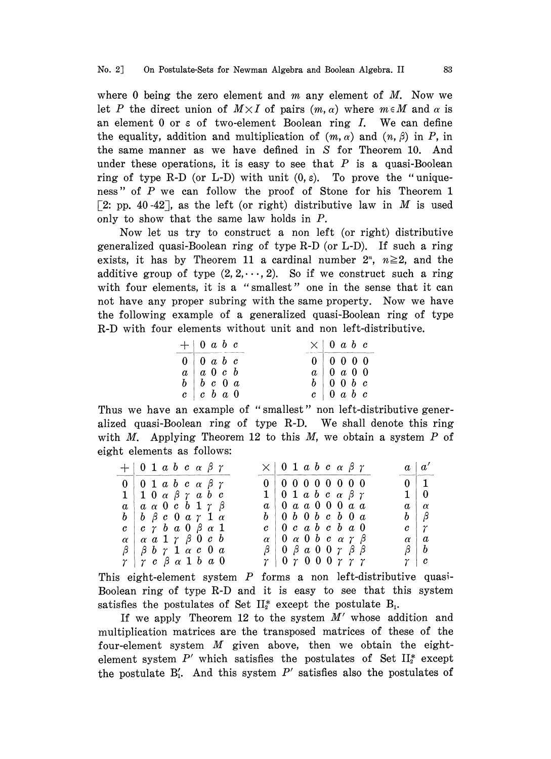where 0 being the zero element and  $m$  any element of  $M$ . Now we let P the direct union of  $M \times I$  of pairs  $(m, \alpha)$  where  $m \in M$  and  $\alpha$  is an element  $0$  or  $\varepsilon$  of two-element Boolean ring  $I$ . We can define the equality, addition and multiplication of  $(m, \alpha)$  and  $(n, \beta)$  in P, in the same manner as we have defined in S for Theorem 10. And under these operations, it is easy to see that  $P$  is a quasi-Boolean ring of type R-D (or L-D) with unit  $(0, \varepsilon)$ . To prove the "uniqueness" of P we can follow the proof of Stone for his Theorem 1 [2: pp. 40-42], as the left (or right) distributive law in M is used only to show that the same law holds in  $P$ .

Now let us try to construct a non left (or right) distributive generalized quasi-Boolean ring of type R-D (or L-D). If such a ring exists, it has by Theorem 11 a cardinal number  $2^n$ ,  $n \ge 2$ , and the additive group of type  $(2, 2, \dots, 2)$ . So if we construct such a ring with four elements, it is a "smallest" one in the sense that it can not have any proper subring with the same property. Now we have the following example of a generalized quasi-Boolean ring of type R-D with four elements without unit and non left-distributive.

| $+$ 0 a b c<br>the property of the property and the first property and the | and was three-follows: | $\times$ 0 a b c                                                |
|----------------------------------------------------------------------------|------------------------|-----------------------------------------------------------------|
| $0 \mid 0 \ a \ b \ c$                                                     |                        | 0 0 0 0 0                                                       |
| $a \mid a \mid b \mid c \mid b$                                            |                        | $a \vert 0 a 0 0$                                               |
| $b \vert b \ c \ 0 \ a$                                                    |                        | $b \begin{array}{ c c c } 0 & 0 & b & c \end{array}$            |
| $c \begin{array}{ccc} c & b & a \end{array}$                               |                        | $c \begin{array}{ c c c } \hline c & 0 & a & b & c \end{array}$ |

Thus we have an example of "smallest" non left-distributive generalized quasi-Boolean ring of type R-D. We shall denote this ring with M. Applying Theorem 12 to this  $M$ , we obtain a system  $P$  of eight elements as follows:

| $+ 0$ 1 a b c $\alpha$ $\beta$ $\gamma$                                     | $\times$   0 1 a b c a $\beta$ $\gamma$                      | $a \mid a'$                                      |
|-----------------------------------------------------------------------------|--------------------------------------------------------------|--------------------------------------------------|
| $0 \vert 0 \vert 1 a b c a \beta \gamma$                                    | 0 0 0 0 0 0 0 0 0 0                                          | <b>Commentance of the Comments</b><br>$0 \mid 1$ |
| $1 \vert 1\; 0 \;\alpha \;\beta \;\gamma \;\,a\; b\;\,c$                    | $1 \vert 0 \; 1 \; a \; b \; c \; \alpha \; \beta \; \gamma$ | $1 \mid 0$                                       |
| $a \,   \, a \alpha \, 0 \, c \, b \, 1 \, \gamma \, \beta$                 | $a \, \, 0 \,a \,a \,0 \,0 \,0 \,a \,a$                      | $\alpha \mid \alpha$                             |
| $b \vert b \vert \beta c \vert 0 \vert a \vert \gamma \vert 1 \vert \alpha$ | $b \, \, 0\; b\; 0\; b\; c\; b\; 0\; a$                      | $b \mid \beta$                                   |
| $c \,   \, c \, \gamma \, b \, a \, 0 \, \beta \, \alpha \, 1$              | $c \, \, 0\,c\,a\,b\,c\,b\,a\,0$                             | $c \mid \gamma$                                  |
| $\alpha \mid \alpha \neq 1$ $\gamma \nmid \beta \neq 0$ $c \neq b$          | $\alpha$   0 $\alpha$ 0 $b$ c $\alpha$ $\gamma$ $\beta$      | $\alpha$<br>  a                                  |
| $\beta$   $\beta$ b $\gamma$ 1 $\alpha$ c 0 $\alpha$                        | $\beta$   0 $\beta$ a 0 0 $\gamma$ $\beta$ $\beta$           | $\beta \mid b$                                   |
| $\gamma$   $\gamma$ c $\beta$ a 1 b a 0                                     | $r\, \,0\;r\;0\;0\;0\;r\;r\;r$                               | $\gamma \mid c$                                  |

This eight-element system  $P$  forms a non left-distributive quasi-Boolean ring of type R-D and it is easy to see that this system satisfies the postulates of Set  $II_2^*$  except the postulate  $B_1$ .

If we apply Theorem 12 to the system  $M'$  whose addition and multiplication matrices are the transposed matrices of these of the four-element system  $M$  given above, then we obtain the eightelement system  $P'$  which satisfies the postulates of Set  $II_2^*$  except the postulate  $B'_1$ . And this system  $P'$  satisfies also the postulates of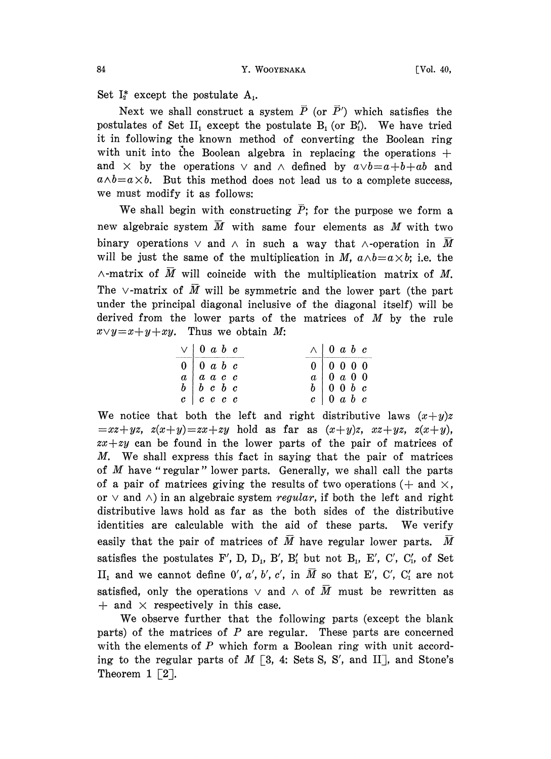84 **Y. WOOYENAKA** [Vol. 40,

Set  $I_2^*$  except the postulate  $A_1$ .

Next we shall construct a system  $\overline{P}$  (or  $\overline{P}'$ ) which satisfies the postulates of Set  $II_1$  except the postulate  $B_1$  (or  $B'_1$ ). We have tried it in following the known method of converting the Boolean ring with unit into the Boolean algebra in replacing the operations  $+$ and  $\times$  by the operations  $\vee$  and  $\wedge$  defined by  $a\vee b=a+b+ab$  and  $a \wedge b = a \times b$ . But this method does not lead us to a complete success, we must modify it as follows:

We shall begin with constructing  $\overline{P}$ ; for the purpose we form a new algebraic system  $\overline{M}$  with same four elements as  $M$  with two binary operations  $\vee$  and  $\wedge$  in such a way that  $\wedge$ -operation in M will be just the same of the multiplication in M,  $a \wedge b = a \times b$ ; i.e. the  $\wedge$ -matrix of  $\overline{M}$  will coincide with the multiplication matrix of M. The  $\vee$ -matrix of  $\overline{M}$  will be symmetric and the lower part (the part under the principal diagonal inclusive of the diagonal itself) will be derived from the lower parts of the matrices of  $M$  by the rule  $x \vee y = x + y + xy$ . Thus we obtain M:

| $\vee$ 0 a b c                                     | $\wedge$ 0 a b c                                     |
|----------------------------------------------------|------------------------------------------------------|
| $0 \vert 0 a b c$                                  | 0 0 0 0 0                                            |
| $a \mid a \mid a \mid c \mid c$                    | $a \vert 0 a 0 0$                                    |
| $b \, \, b \, \, c \, \, b \, \, c$                | $b \begin{array}{ c c c } 0 & 0 & b & c \end{array}$ |
| $c \begin{array}{c ccc} c & c & c & c \end{array}$ | $c \begin{bmatrix} 0 & a & b & c \end{bmatrix}$      |

We notice that both the left and right distributive laws  $(x+y)z$  $z=x+yz$ ,  $z(x+y)=zx+zy$  hold as far as  $(x+y)z$ ,  $xz+yz$ ,  $z(x+y)$ ,  $zx+zy$  can be found in the lower parts of the pair of matrices of M. We shall express this fact in saying that the pair of matrices of M have "regular" lower parts. Generally, we shall call the parts of a pair of matrices giving the results of two operations  $(+)$  and  $\times$ , or  $\vee$  and  $\wedge$ ) in an algebraic system regular, if both the left and right distributive laws hold as far as the both sides of the distributive identities are calculable with the aid of these parts. We verify easily that the pair of matrices of  $M$  have regular lower parts.  $M$ satisfies the postulates F', D, D<sub>1</sub>, B', B'<sub>1</sub> but not B<sub>1</sub>, E', C', C'<sub>1</sub>, of Set II<sub>1</sub> and we cannot define 0', a', b', c', in  $\overline{M}$  so that E', C', C'<sub>1</sub> are not satisfied, only the operations  $\vee$  and  $\wedge$  of  $\overline{M}$  must be rewritten as  $+$  and  $\times$  respectively in this case.

We observe further that the following parts (except the blank parts) of the matrices of  $P$  are regular. These parts are concerned with the elements of  $P$  which form a Boolean ring with unit according to the regular parts of  $M \left[3, 4$ : Sets S, S', and II], and Stone's Theorem  $1 \lceil 2 \rceil$ .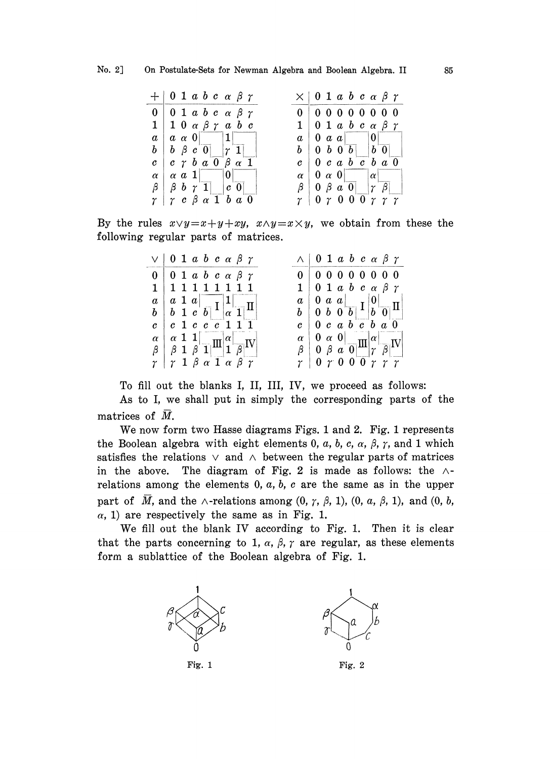| $+$   0 1 a b c a $\beta$ $\gamma$                                                   | $\times$   0 1 a b c a $\beta$ $\gamma$                          |
|--------------------------------------------------------------------------------------|------------------------------------------------------------------|
| $0 \vert 0 \vert 1 a b c a \beta \gamma$                                             | 0 0 0 0 0 0 0 0 0                                                |
| $1 \vert 1 \vert 0 \alpha \beta \gamma a b c$                                        | $1 \vert 0 \; 1 \; a \; b \; c \; \alpha \; \beta \; \gamma$     |
| $a \mid a \alpha 0$   1                                                              | $a \mid 0 \mid a \mid a \mid 0$                                  |
| $b \mid b \mid \beta \mid c \mid 0 \mid  \gamma \mid 1 $                             | $b \mid 0 \mid b \mid 0 \mid b \mid 0$                           |
| $c \,   \, c \, \gamma \, b \, a \, \overline{0} \, \beta \, \alpha \, \overline{1}$ | $c \,   \, 0 \, c \, a \, b \, c \, b \, a \, 0$                 |
| $\alpha \mid \alpha \mid a \mid 1 \mid 0 \mid$                                       | $\alpha \begin{bmatrix} 0 & \alpha & 0 \end{bmatrix}$   $\alpha$ |
| $\beta$   $\beta$ b $\gamma$ 1   c 0                                                 | $\beta$   0 $\beta$ a 0     $\gamma$ $\beta$                     |
| $r r c \beta \alpha 1 b a 0$                                                         | $\gamma$   0 $\gamma$ 0 0 0 $\gamma$ $\gamma$ $\gamma$           |

By the rules  $x \vee y = x + y + xy$ ,  $x \wedge y = x \times y$ , we obtain from these the following regular parts of matrices.

| $\vee$   0 1 a b c a $\beta$ $\gamma$                                                                                                                  | $\wedge$   0 1 a b c a $\beta$ $\gamma$                                                                                    |
|--------------------------------------------------------------------------------------------------------------------------------------------------------|----------------------------------------------------------------------------------------------------------------------------|
| $0 \vert 0 1 a b c \alpha \beta \gamma$                                                                                                                | 0 0 0 0 0 0 0 0 0                                                                                                          |
| 1   1 1 1 1 1 1 1 1                                                                                                                                    | $1 \vert 0 \; 1 \; a \; b \; c \; \alpha \; \beta \; \gamma$                                                               |
|                                                                                                                                                        |                                                                                                                            |
|                                                                                                                                                        | $\begin{array}{c c c c c} a & 0 & a & a & b & a \\ b & 0 & b & 0 & b & b & b \\ c & 0 & c & a & b & c & b & a \end{array}$ |
| $c \vert c \vert 1 \vert c \vert c \vert \overline{c} \vert 1 \vert 1 \vert 1$                                                                         |                                                                                                                            |
|                                                                                                                                                        |                                                                                                                            |
| $\begin{array}{c c}\n\alpha & \alpha & 1 & 1 \\ \beta & 1 & \beta & 1\n\end{array} \begin{array}{c c}\n\alpha & \alpha \\ \alpha & \beta\n\end{array}$ | $\begin{array}{c c c c}\n\alpha & 0 & \alpha & 0 & \alpha \\ \beta & 0 & \beta & \alpha & 0 & \beta\n\end{array}$          |
| $\gamma$   $\gamma$ 1 $\beta$ $\alpha$ 1 $\alpha$ $\beta$ $\gamma$                                                                                     | $r\mid 0\,r\,0\,0\,\overline{0}\,\overline{r}\,\overline{r}\,\overline{r}$                                                 |

To fill out the blanks I, II, III, IV, we proceed as follows:

As to I, we shall put in simply the corresponding parts of the matrices of M.

We now form two Hasse diagrams Figs. 1 and 2. Fig. 1 represents the Boolean algebra with eight elements 0, a, b, c,  $\alpha$ ,  $\beta$ ,  $\gamma$ , and 1 which satisfies the relations  $\vee$  and  $\wedge$  between the regular parts of matrices in the above. The diagram of Fig. 2 is made as follows: the  $\wedge$ relations among the elements  $0, a, b, c$  are the same as in the upper part of M, and the  $\wedge$ -relations among  $(0, \gamma, \beta, 1)$ ,  $(0, \alpha, \beta, 1)$ , and  $(0, b, \gamma)$  $\alpha$ , 1) are respectively the same as in Fig. 1.

We fill out the blank IV according to Fig. 1. Then it is clear that the parts concerning to 1,  $\alpha$ ,  $\beta$ ,  $\gamma$  are regular, as these elements form a sublattice of the Boolean algebra of Fig. 1.

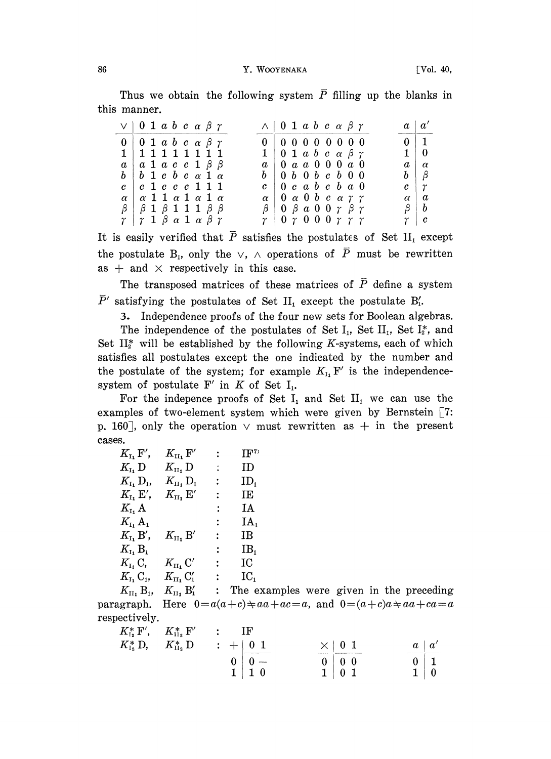Thus we obtain the following system  $\overline{P}$  filling up the blanks in this manner.

| $\vee$   0 1 a b c a $\beta$ $\gamma$                              | $\wedge$   0 1 a b c a $\beta$ $\gamma$                      | $a \mid a'$          |
|--------------------------------------------------------------------|--------------------------------------------------------------|----------------------|
| $0 \mid 0 \; 1 \; a \; b \; c \; \alpha \; \beta \; \gamma$        | 0 0 0 0 0 0 0 0 0                                            | $0 \mid 1$           |
| 1   1 1 1 1 1 1 1 1                                                | $1 \vert 0 \; 1 \; a \; b \; c \; \alpha \; \beta \; \gamma$ | $1 \mid 0$           |
| $a \mid a \mid a \mid c \mid c \mid 1 \mid \beta \mid \beta$       | $a + 0 a a 0 0 0 a 0$                                        | $\alpha \mid \alpha$ |
| $b \vert b \vert 1 c \vert b \vert c \vert \alpha 1 \vert \alpha$  | $b \, \, 0\; b\; 0\; b\; c\; b\; 0\; 0$                      | $b \mid \beta$       |
| $c \;\;   \;\; c \;\; 1 \;\; c \;\; c \;\; c \;\; 1 \;\; 1 \;\; 1$ | $c \,   \, 0 \, c \, a \, b \, c \, b \, a \, 0$             | $c \mid \gamma$      |
| $\alpha$   $\alpha$ 1 1 $\alpha$ 1 $\alpha$ 1 $\alpha$             | $\alpha$   0 $\alpha$ 0 $b$ c $\alpha$ $\gamma$ $\gamma$     | $\alpha \mid a$      |
| $\beta$   $\beta$ 1 $\beta$ 1 1 1 $\beta$ $\beta$                  | $\beta$   0 $\beta$ a 0 0 $\gamma$ $\beta$ $\gamma$          | $\beta \mid b$       |
| $\gamma$   $\gamma$ 1 $\beta$ $\alpha$ 1 $\alpha$ $\beta$ $\gamma$ | $r\mid 0\; r\; 0\; 0\; 0\; r\; r\; r$                        | r c                  |

It is easily verified that  $\bar{P}$  satisfies the postulates of Set II<sub>1</sub> except the postulate B<sub>1</sub>, only the  $\vee$ ,  $\wedge$  operations of  $\overline{P}$  must be rewritten as  $+$  and  $\times$  respectively in this case.

The transposed matrices of these matrices of  $\overline{P}$  define a system  $\bar{P}'$  satisfying the postulates of Set II<sub>1</sub> except the postulate B'<sub>1</sub>.

3. Independence proofs of the four new sets for Boolean algebras.

The independence of the postulates of Set  $I_1$ , Set  $II_1$ , Set  $I_2^*$ , and Set  $II_2^*$  will be established by the following K-systems, each of which satisfies all postulates except the one indicated by the number and the postulate of the system; for example  $K_{I}$ ,  $F'$  is the independencesystem of postulate  $F'$  in  $K$  of Set  $I_1$ .

For the indepence proofs of Set  $I_1$  and Set  $II_1$  we can use the examples of two-element system which were given by Bernstein  $[7:$ p. 160<sup>-</sup>, only the operation  $\vee$  must rewritten as  $+$  in the present cases.

| $K_{\scriptscriptstyle \rm I_1}$ F',                           | $K_{\scriptscriptstyle\rm II_1}$ F'                               | $\ddot{\phantom{a}}$ | $IF^v$          |
|----------------------------------------------------------------|-------------------------------------------------------------------|----------------------|-----------------|
| $K_{\scriptscriptstyle\rm I_1}$ D                              | $K_{\scriptscriptstyle\rm II_1}$ ${\rm D}$                        | ÷                    | ID.             |
| $K_{\scriptscriptstyle \rm I_1}$ , D <sub>1</sub> ,            | $K_{\scriptscriptstyle\rm II_1}$ ${\rm D}_{\scriptscriptstyle 1}$ | ÷.                   | ID,             |
| $K_{\scriptscriptstyle \rm I_1}$ E',                           | $K_{\scriptscriptstyle\rm II_1} \to'$                             | :                    | IE              |
| $K_{\rm I}$ , A                                                |                                                                   | $\ddot{\phantom{a}}$ | IA              |
| $K_{\scriptscriptstyle\rm I_1}$ ${\rm A}_1$                    |                                                                   | $\ddot{\cdot}$       | IA.             |
| $K_{\scriptscriptstyle \rm I}$ , B',                           | $K_{\scriptscriptstyle\rm II_1}$ B'                               | $\ddot{\phantom{a}}$ | $_{\rm IB}$     |
| $K_{\scriptscriptstyle\rm I_1}$ $\rm B_{\scriptscriptstyle 1}$ |                                                                   | $\colon$             | IB <sub>1</sub> |
| $K_{\rm L}$ , C,                                               | $K_{\scriptscriptstyle\rm II}$ , C'                               | :                    | IC              |
| $K_{I_1}C_{I_2}$                                               | $K_{\scriptscriptstyle \rm II_1}$ $\rm C'_1$                      | $\ddot{\phantom{a}}$ | IC,             |
| $K_{\cdot}$ R                                                  | $K$ R'                                                            |                      | rha a           |

 $K_{\text{II}_1}$  B<sub>1</sub>,  $K_{\text{II}_1}$  B'<sub>1</sub> : The examples were given in the preceding paragraph. Here  $0=a(a+c)+aa+ac=a$ , and  $0=(a+c)a+aa+ca=a$ respectively.

| $K_{\scriptscriptstyle{\rm I}_2}^*\,\mathrm{F}'$ | $K_{\scriptscriptstyle\rm H_2}^*\,\mathrm{F}'$ | TF<br>٠<br>٠         |                   |                       |
|--------------------------------------------------|------------------------------------------------|----------------------|-------------------|-----------------------|
| $K_{\scriptscriptstyle{\mathrm{I}}^*_2}^*$ D,    | $K^*_{\mathrm{H}_2}\,\mathrm{D}$               | $\therefore$ +   0 1 | $\times 101$<br>. | $\alpha'$<br>$\alpha$ |
|                                                  |                                                |                      | $0 \mid 0 \mid 0$ | 0                     |
|                                                  |                                                | $1\,0$               | 0 <sub>1</sub>    |                       |